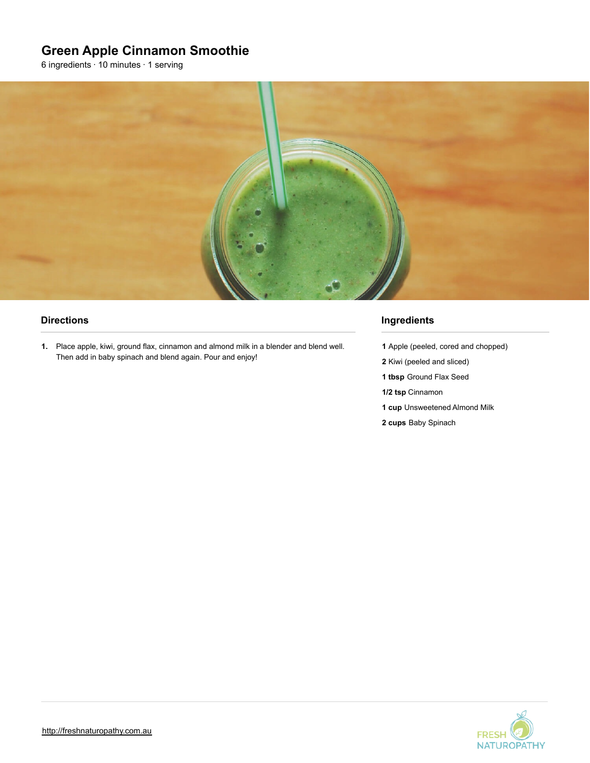# **Green Apple Cinnamon Smoothie**

6 ingredients · 10 minutes · 1 serving



#### **Directions**

**1.** Place apple, kiwi, ground flax, cinnamon and almond milk in a blender and blend well. Then add in baby spinach and blend again. Pour and enjoy!

#### **Ingredients**

- **1** Apple (peeled, cored and chopped)
- **2** Kiwi (peeled and sliced)
- **1 tbsp** Ground Flax Seed
- **1/2 tsp** Cinnamon
- **1 cup** Unsweetened Almond Milk
- **2 cups** Baby Spinach

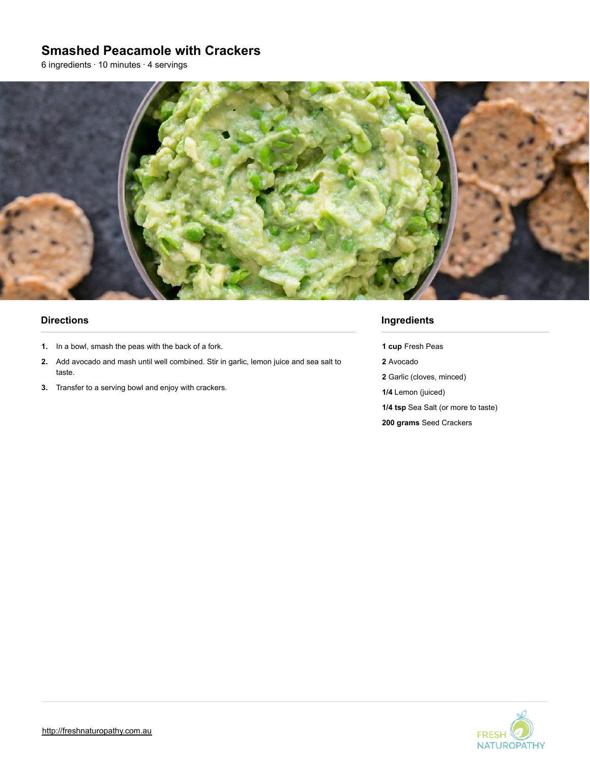## **Smashed Peacamole with Crackers**

6 ingredients · 10 minutes · 4 servings



#### **Directions**

- **1.** In a bowl, smash the peas with the back of a fork.
- **2.** Add avocado and mash until well combined. Stir in garlic, lemon juice and sea salt to taste.
- **3.** Transfer to a serving bowl and enjoy with crackers.

#### **Ingredients**

**1 cup** Fresh Peas **2** Avocado

- **2** Garlic (cloves, minced)
- **1/4** Lemon (juiced)
- **1/4 tsp** Sea Salt (or more to taste)
- **200 grams** Seed Crackers